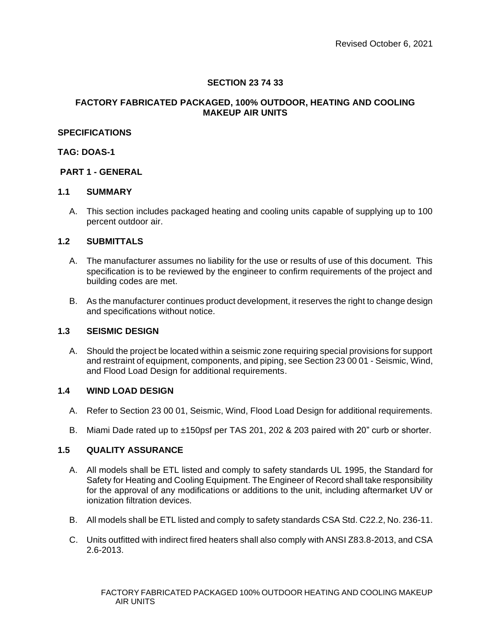# **SECTION 23 74 33**

## **FACTORY FABRICATED PACKAGED, 100% OUTDOOR, HEATING AND COOLING MAKEUP AIR UNITS**

## **SPECIFICATIONS**

## **TAG: DOAS-1**

## **PART 1 - GENERAL**

### **1.1 SUMMARY**

A. This section includes packaged heating and cooling units capable of supplying up to 100 percent outdoor air.

### **1.2 SUBMITTALS**

- A. The manufacturer assumes no liability for the use or results of use of this document. This specification is to be reviewed by the engineer to confirm requirements of the project and building codes are met.
- B. As the manufacturer continues product development, it reserves the right to change design and specifications without notice.

## **1.3 SEISMIC DESIGN**

A. Should the project be located within a seismic zone requiring special provisions for support and restraint of equipment, components, and piping, see Section 23 00 01 - Seismic, Wind, and Flood Load Design for additional requirements.

### **1.4 WIND LOAD DESIGN**

- A. Refer to Section 23 00 01, Seismic, Wind, Flood Load Design for additional requirements.
- B. Miami Dade rated up to ±150psf per TAS 201, 202 & 203 paired with 20" curb or shorter.

## **1.5 QUALITY ASSURANCE**

- A. All models shall be ETL listed and comply to safety standards UL 1995, the Standard for Safety for Heating and Cooling Equipment. The Engineer of Record shall take responsibility for the approval of any modifications or additions to the unit, including aftermarket UV or ionization filtration devices.
- B. All models shall be ETL listed and comply to safety standards CSA Std. C22.2, No. 236-11.
- C. Units outfitted with indirect fired heaters shall also comply with ANSI Z83.8-2013, and CSA 2.6-2013.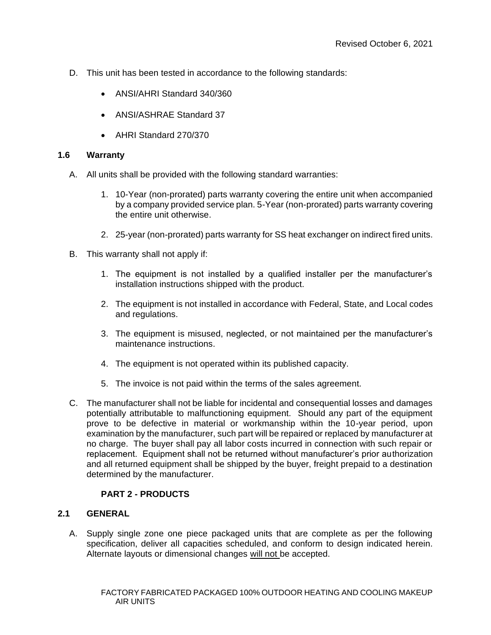- D. This unit has been tested in accordance to the following standards:
	- ANSI/AHRI Standard 340/360
	- ANSI/ASHRAE Standard 37
	- AHRI Standard 270/370

# **1.6 Warranty**

- A. All units shall be provided with the following standard warranties:
	- 1. 10-Year (non-prorated) parts warranty covering the entire unit when accompanied by a company provided service plan. 5-Year (non-prorated) parts warranty covering the entire unit otherwise.
	- 2. 25-year (non-prorated) parts warranty for SS heat exchanger on indirect fired units.
- B. This warranty shall not apply if:
	- 1. The equipment is not installed by a qualified installer per the manufacturer's installation instructions shipped with the product.
	- 2. The equipment is not installed in accordance with Federal, State, and Local codes and regulations.
	- 3. The equipment is misused, neglected, or not maintained per the manufacturer's maintenance instructions.
	- 4. The equipment is not operated within its published capacity.
	- 5. The invoice is not paid within the terms of the sales agreement.
- C. The manufacturer shall not be liable for incidental and consequential losses and damages potentially attributable to malfunctioning equipment. Should any part of the equipment prove to be defective in material or workmanship within the 10-year period, upon examination by the manufacturer, such part will be repaired or replaced by manufacturer at no charge. The buyer shall pay all labor costs incurred in connection with such repair or replacement. Equipment shall not be returned without manufacturer's prior authorization and all returned equipment shall be shipped by the buyer, freight prepaid to a destination determined by the manufacturer.

# **PART 2 - PRODUCTS**

# **2.1 GENERAL**

A. Supply single zone one piece packaged units that are complete as per the following specification, deliver all capacities scheduled, and conform to design indicated herein. Alternate layouts or dimensional changes will not be accepted.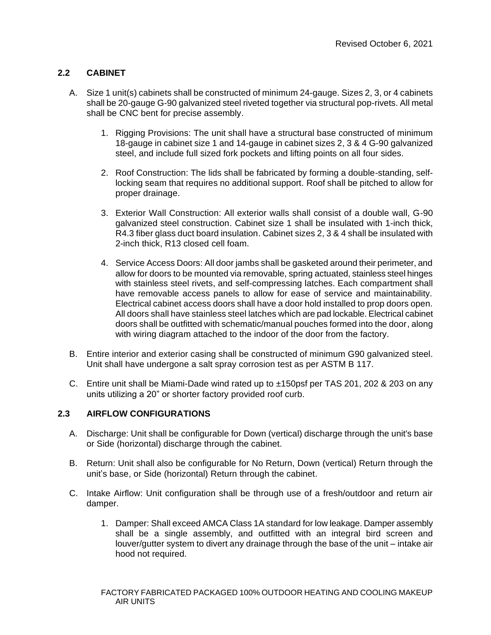# **2.2 CABINET**

- A. Size 1 unit(s) cabinets shall be constructed of minimum 24-gauge. Sizes 2, 3, or 4 cabinets shall be 20-gauge G-90 galvanized steel riveted together via structural pop-rivets. All metal shall be CNC bent for precise assembly.
	- 1. Rigging Provisions: The unit shall have a structural base constructed of minimum 18-gauge in cabinet size 1 and 14-gauge in cabinet sizes 2, 3 & 4 G-90 galvanized steel, and include full sized fork pockets and lifting points on all four sides.
	- 2. Roof Construction: The lids shall be fabricated by forming a double-standing, selflocking seam that requires no additional support. Roof shall be pitched to allow for proper drainage.
	- 3. Exterior Wall Construction: All exterior walls shall consist of a double wall, G-90 galvanized steel construction. Cabinet size 1 shall be insulated with 1-inch thick, R4.3 fiber glass duct board insulation. Cabinet sizes 2, 3 & 4 shall be insulated with 2-inch thick, R13 closed cell foam.
	- 4. Service Access Doors: All door jambs shall be gasketed around their perimeter, and allow for doors to be mounted via removable, spring actuated, stainless steel hinges with stainless steel rivets, and self-compressing latches. Each compartment shall have removable access panels to allow for ease of service and maintainability. Electrical cabinet access doors shall have a door hold installed to prop doors open. All doors shall have stainless steel latches which are pad lockable. Electrical cabinet doors shall be outfitted with schematic/manual pouches formed into the door, along with wiring diagram attached to the indoor of the door from the factory.
- B. Entire interior and exterior casing shall be constructed of minimum G90 galvanized steel. Unit shall have undergone a salt spray corrosion test as per ASTM B 117.
- C. Entire unit shall be Miami-Dade wind rated up to ±150psf per TAS 201, 202 & 203 on any units utilizing a 20" or shorter factory provided roof curb.

# **2.3 AIRFLOW CONFIGURATIONS**

- A. Discharge: Unit shall be configurable for Down (vertical) discharge through the unit's base or Side (horizontal) discharge through the cabinet.
- B. Return: Unit shall also be configurable for No Return, Down (vertical) Return through the unit's base, or Side (horizontal) Return through the cabinet.
- C. Intake Airflow: Unit configuration shall be through use of a fresh/outdoor and return air damper.
	- 1. Damper: Shall exceed AMCA Class 1A standard for low leakage. Damper assembly shall be a single assembly, and outfitted with an integral bird screen and louver/gutter system to divert any drainage through the base of the unit – intake air hood not required.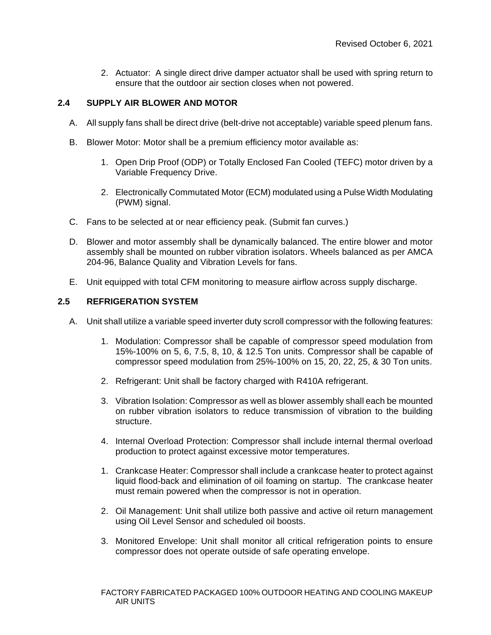2. Actuator: A single direct drive damper actuator shall be used with spring return to ensure that the outdoor air section closes when not powered.

# **2.4 SUPPLY AIR BLOWER AND MOTOR**

- A. All supply fans shall be direct drive (belt-drive not acceptable) variable speed plenum fans.
- B. Blower Motor: Motor shall be a premium efficiency motor available as:
	- 1. Open Drip Proof (ODP) or Totally Enclosed Fan Cooled (TEFC) motor driven by a Variable Frequency Drive.
	- 2. Electronically Commutated Motor (ECM) modulated using a Pulse Width Modulating (PWM) signal.
- C. Fans to be selected at or near efficiency peak. (Submit fan curves.)
- D. Blower and motor assembly shall be dynamically balanced. The entire blower and motor assembly shall be mounted on rubber vibration isolators. Wheels balanced as per AMCA 204-96, Balance Quality and Vibration Levels for fans.
- E. Unit equipped with total CFM monitoring to measure airflow across supply discharge.

# **2.5 REFRIGERATION SYSTEM**

- A. Unit shall utilize a variable speed inverter duty scroll compressor with the following features:
	- 1. Modulation: Compressor shall be capable of compressor speed modulation from 15%-100% on 5, 6, 7.5, 8, 10, & 12.5 Ton units. Compressor shall be capable of compressor speed modulation from 25%-100% on 15, 20, 22, 25, & 30 Ton units.
	- 2. Refrigerant: Unit shall be factory charged with R410A refrigerant.
	- 3. Vibration Isolation: Compressor as well as blower assembly shall each be mounted on rubber vibration isolators to reduce transmission of vibration to the building structure.
	- 4. Internal Overload Protection: Compressor shall include internal thermal overload production to protect against excessive motor temperatures.
	- 1. Crankcase Heater: Compressor shall include a crankcase heater to protect against liquid flood-back and elimination of oil foaming on startup. The crankcase heater must remain powered when the compressor is not in operation.
	- 2. Oil Management: Unit shall utilize both passive and active oil return management using Oil Level Sensor and scheduled oil boosts.
	- 3. Monitored Envelope: Unit shall monitor all critical refrigeration points to ensure compressor does not operate outside of safe operating envelope.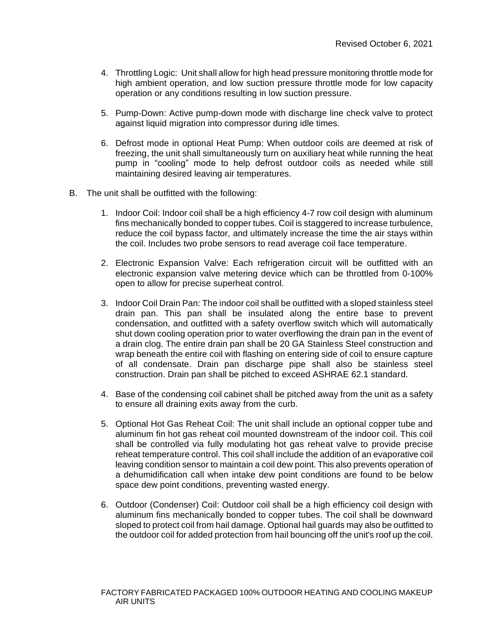- 4. Throttling Logic: Unit shall allow for high head pressure monitoring throttle mode for high ambient operation, and low suction pressure throttle mode for low capacity operation or any conditions resulting in low suction pressure.
- 5. Pump-Down: Active pump-down mode with discharge line check valve to protect against liquid migration into compressor during idle times.
- 6. Defrost mode in optional Heat Pump: When outdoor coils are deemed at risk of freezing, the unit shall simultaneously turn on auxiliary heat while running the heat pump in "cooling" mode to help defrost outdoor coils as needed while still maintaining desired leaving air temperatures.
- B. The unit shall be outfitted with the following:
	- 1. Indoor Coil: Indoor coil shall be a high efficiency 4-7 row coil design with aluminum fins mechanically bonded to copper tubes. Coil is staggered to increase turbulence, reduce the coil bypass factor, and ultimately increase the time the air stays within the coil. Includes two probe sensors to read average coil face temperature.
	- 2. Electronic Expansion Valve: Each refrigeration circuit will be outfitted with an electronic expansion valve metering device which can be throttled from 0-100% open to allow for precise superheat control.
	- 3. Indoor Coil Drain Pan: The indoor coil shall be outfitted with a sloped stainless steel drain pan. This pan shall be insulated along the entire base to prevent condensation, and outfitted with a safety overflow switch which will automatically shut down cooling operation prior to water overflowing the drain pan in the event of a drain clog. The entire drain pan shall be 20 GA Stainless Steel construction and wrap beneath the entire coil with flashing on entering side of coil to ensure capture of all condensate. Drain pan discharge pipe shall also be stainless steel construction. Drain pan shall be pitched to exceed ASHRAE 62.1 standard.
	- 4. Base of the condensing coil cabinet shall be pitched away from the unit as a safety to ensure all draining exits away from the curb.
	- 5. Optional Hot Gas Reheat Coil: The unit shall include an optional copper tube and aluminum fin hot gas reheat coil mounted downstream of the indoor coil. This coil shall be controlled via fully modulating hot gas reheat valve to provide precise reheat temperature control. This coil shall include the addition of an evaporative coil leaving condition sensor to maintain a coil dew point. This also prevents operation of a dehumidification call when intake dew point conditions are found to be below space dew point conditions, preventing wasted energy.
	- 6. Outdoor (Condenser) Coil: Outdoor coil shall be a high efficiency coil design with aluminum fins mechanically bonded to copper tubes. The coil shall be downward sloped to protect coil from hail damage. Optional hail guards may also be outfitted to the outdoor coil for added protection from hail bouncing off the unit's roof up the coil.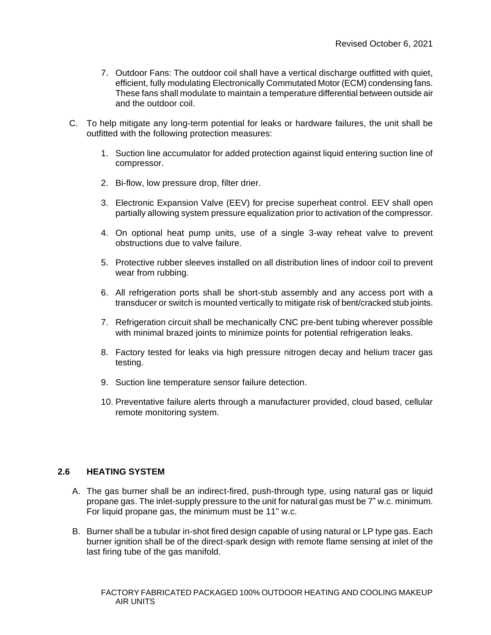- 7. Outdoor Fans: The outdoor coil shall have a vertical discharge outfitted with quiet, efficient, fully modulating Electronically Commutated Motor (ECM) condensing fans. These fans shall modulate to maintain a temperature differential between outside air and the outdoor coil.
- C. To help mitigate any long-term potential for leaks or hardware failures, the unit shall be outfitted with the following protection measures:
	- 1. Suction line accumulator for added protection against liquid entering suction line of compressor.
	- 2. Bi-flow, low pressure drop, filter drier.
	- 3. Electronic Expansion Valve (EEV) for precise superheat control. EEV shall open partially allowing system pressure equalization prior to activation of the compressor.
	- 4. On optional heat pump units, use of a single 3-way reheat valve to prevent obstructions due to valve failure.
	- 5. Protective rubber sleeves installed on all distribution lines of indoor coil to prevent wear from rubbing.
	- 6. All refrigeration ports shall be short-stub assembly and any access port with a transducer or switch is mounted vertically to mitigate risk of bent/cracked stub joints.
	- 7. Refrigeration circuit shall be mechanically CNC pre-bent tubing wherever possible with minimal brazed joints to minimize points for potential refrigeration leaks.
	- 8. Factory tested for leaks via high pressure nitrogen decay and helium tracer gas testing.
	- 9. Suction line temperature sensor failure detection.
	- 10. Preventative failure alerts through a manufacturer provided, cloud based, cellular remote monitoring system.

### **2.6 HEATING SYSTEM**

- A. The gas burner shall be an indirect-fired, push-through type, using natural gas or liquid propane gas. The inlet-supply pressure to the unit for natural gas must be 7" w.c. minimum. For liquid propane gas, the minimum must be 11" w.c.
- B. Burner shall be a tubular in-shot fired design capable of using natural or LP type gas. Each burner ignition shall be of the direct-spark design with remote flame sensing at inlet of the last firing tube of the gas manifold.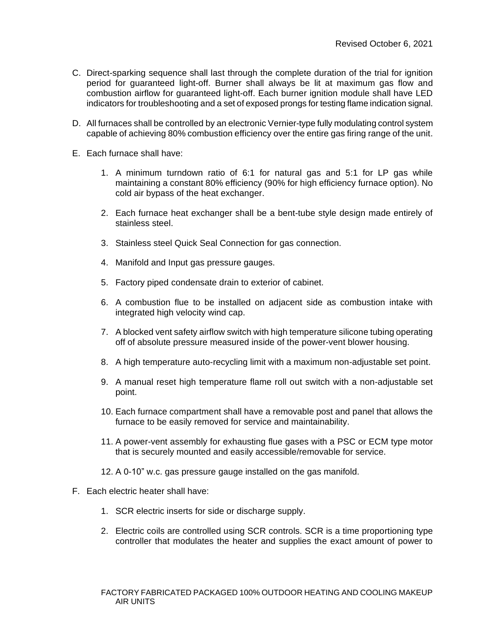- C. Direct-sparking sequence shall last through the complete duration of the trial for ignition period for guaranteed light-off. Burner shall always be lit at maximum gas flow and combustion airflow for guaranteed light-off. Each burner ignition module shall have LED indicators for troubleshooting and a set of exposed prongs for testing flame indication signal.
- D. All furnaces shall be controlled by an electronic Vernier-type fully modulating control system capable of achieving 80% combustion efficiency over the entire gas firing range of the unit.
- E. Each furnace shall have:
	- 1. A minimum turndown ratio of 6:1 for natural gas and 5:1 for LP gas while maintaining a constant 80% efficiency (90% for high efficiency furnace option). No cold air bypass of the heat exchanger.
	- 2. Each furnace heat exchanger shall be a bent-tube style design made entirely of stainless steel.
	- 3. Stainless steel Quick Seal Connection for gas connection.
	- 4. Manifold and Input gas pressure gauges.
	- 5. Factory piped condensate drain to exterior of cabinet.
	- 6. A combustion flue to be installed on adjacent side as combustion intake with integrated high velocity wind cap.
	- 7. A blocked vent safety airflow switch with high temperature silicone tubing operating off of absolute pressure measured inside of the power-vent blower housing.
	- 8. A high temperature auto-recycling limit with a maximum non-adjustable set point.
	- 9. A manual reset high temperature flame roll out switch with a non-adjustable set point.
	- 10. Each furnace compartment shall have a removable post and panel that allows the furnace to be easily removed for service and maintainability.
	- 11. A power-vent assembly for exhausting flue gases with a PSC or ECM type motor that is securely mounted and easily accessible/removable for service.
	- 12. A 0-10" w.c. gas pressure gauge installed on the gas manifold.
- F. Each electric heater shall have:
	- 1. SCR electric inserts for side or discharge supply.
	- 2. Electric coils are controlled using SCR controls. SCR is a time proportioning type controller that modulates the heater and supplies the exact amount of power to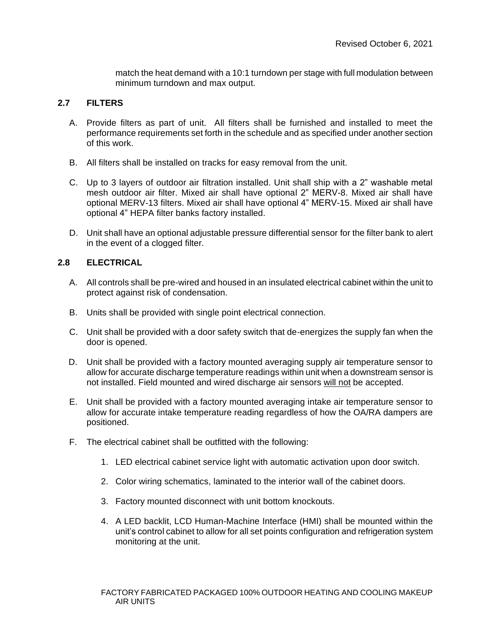match the heat demand with a 10:1 turndown per stage with full modulation between minimum turndown and max output.

# **2.7 FILTERS**

- A. Provide filters as part of unit. All filters shall be furnished and installed to meet the performance requirements set forth in the schedule and as specified under another section of this work.
- B. All filters shall be installed on tracks for easy removal from the unit.
- C. Up to 3 layers of outdoor air filtration installed. Unit shall ship with a 2" washable metal mesh outdoor air filter. Mixed air shall have optional 2" MERV-8. Mixed air shall have optional MERV-13 filters. Mixed air shall have optional 4" MERV-15. Mixed air shall have optional 4" HEPA filter banks factory installed.
- D. Unit shall have an optional adjustable pressure differential sensor for the filter bank to alert in the event of a clogged filter.

# **2.8 ELECTRICAL**

- A. All controls shall be pre-wired and housed in an insulated electrical cabinet within the unit to protect against risk of condensation.
- B. Units shall be provided with single point electrical connection.
- C. Unit shall be provided with a door safety switch that de-energizes the supply fan when the door is opened.
- D. Unit shall be provided with a factory mounted averaging supply air temperature sensor to allow for accurate discharge temperature readings within unit when a downstream sensor is not installed. Field mounted and wired discharge air sensors will not be accepted.
- E. Unit shall be provided with a factory mounted averaging intake air temperature sensor to allow for accurate intake temperature reading regardless of how the OA/RA dampers are positioned.
- F. The electrical cabinet shall be outfitted with the following:
	- 1. LED electrical cabinet service light with automatic activation upon door switch.
	- 2. Color wiring schematics, laminated to the interior wall of the cabinet doors.
	- 3. Factory mounted disconnect with unit bottom knockouts.
	- 4. A LED backlit, LCD Human-Machine Interface (HMI) shall be mounted within the unit's control cabinet to allow for all set points configuration and refrigeration system monitoring at the unit.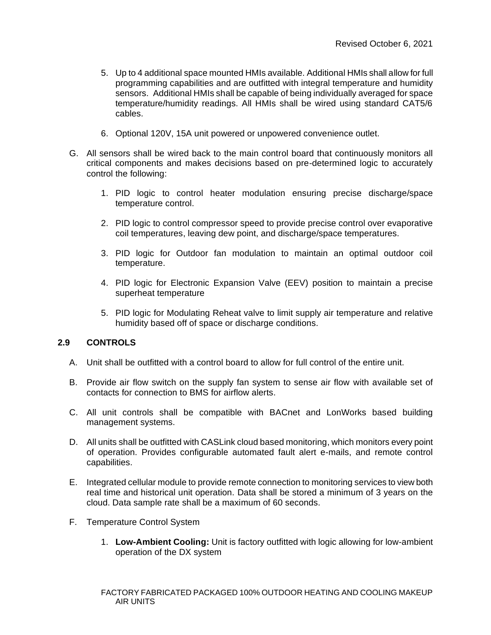- 5. Up to 4 additional space mounted HMIs available. Additional HMIs shall allow for full programming capabilities and are outfitted with integral temperature and humidity sensors. Additional HMIs shall be capable of being individually averaged for space temperature/humidity readings. All HMIs shall be wired using standard CAT5/6 cables.
- 6. Optional 120V, 15A unit powered or unpowered convenience outlet.
- G. All sensors shall be wired back to the main control board that continuously monitors all critical components and makes decisions based on pre-determined logic to accurately control the following:
	- 1. PID logic to control heater modulation ensuring precise discharge/space temperature control.
	- 2. PID logic to control compressor speed to provide precise control over evaporative coil temperatures, leaving dew point, and discharge/space temperatures.
	- 3. PID logic for Outdoor fan modulation to maintain an optimal outdoor coil temperature.
	- 4. PID logic for Electronic Expansion Valve (EEV) position to maintain a precise superheat temperature
	- 5. PID logic for Modulating Reheat valve to limit supply air temperature and relative humidity based off of space or discharge conditions.

# **2.9 CONTROLS**

- A. Unit shall be outfitted with a control board to allow for full control of the entire unit.
- B. Provide air flow switch on the supply fan system to sense air flow with available set of contacts for connection to BMS for airflow alerts.
- C. All unit controls shall be compatible with BACnet and LonWorks based building management systems.
- D. All units shall be outfitted with CASLink cloud based monitoring, which monitors every point of operation. Provides configurable automated fault alert e-mails, and remote control capabilities.
- E. Integrated cellular module to provide remote connection to monitoring services to view both real time and historical unit operation. Data shall be stored a minimum of 3 years on the cloud. Data sample rate shall be a maximum of 60 seconds.
- F. Temperature Control System
	- 1. **Low-Ambient Cooling:** Unit is factory outfitted with logic allowing for low-ambient operation of the DX system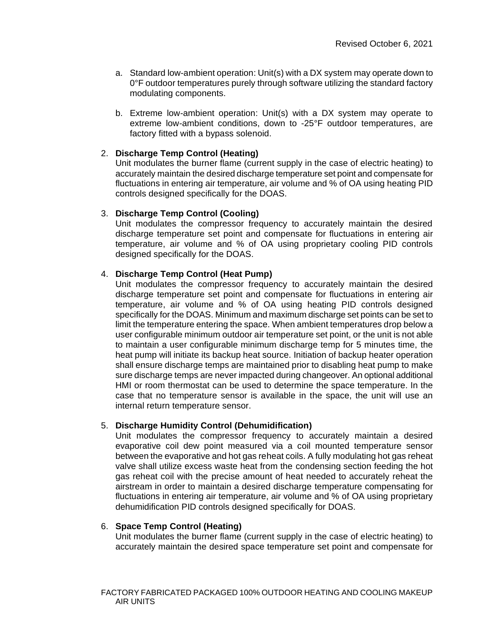- a. Standard low-ambient operation: Unit(s) with a DX system may operate down to 0°F outdoor temperatures purely through software utilizing the standard factory modulating components.
- b. Extreme low-ambient operation: Unit(s) with a DX system may operate to extreme low-ambient conditions, down to -25°F outdoor temperatures, are factory fitted with a bypass solenoid.

## 2. **Discharge Temp Control (Heating)**

Unit modulates the burner flame (current supply in the case of electric heating) to accurately maintain the desired discharge temperature set point and compensate for fluctuations in entering air temperature, air volume and % of OA using heating PID controls designed specifically for the DOAS.

## 3. **Discharge Temp Control (Cooling)**

Unit modulates the compressor frequency to accurately maintain the desired discharge temperature set point and compensate for fluctuations in entering air temperature, air volume and % of OA using proprietary cooling PID controls designed specifically for the DOAS.

# 4. **Discharge Temp Control (Heat Pump)**

Unit modulates the compressor frequency to accurately maintain the desired discharge temperature set point and compensate for fluctuations in entering air temperature, air volume and % of OA using heating PID controls designed specifically for the DOAS. Minimum and maximum discharge set points can be set to limit the temperature entering the space. When ambient temperatures drop below a user configurable minimum outdoor air temperature set point, or the unit is not able to maintain a user configurable minimum discharge temp for 5 minutes time, the heat pump will initiate its backup heat source. Initiation of backup heater operation shall ensure discharge temps are maintained prior to disabling heat pump to make sure discharge temps are never impacted during changeover. An optional additional HMI or room thermostat can be used to determine the space temperature. In the case that no temperature sensor is available in the space, the unit will use an internal return temperature sensor.

# 5. **Discharge Humidity Control (Dehumidification)**

Unit modulates the compressor frequency to accurately maintain a desired evaporative coil dew point measured via a coil mounted temperature sensor between the evaporative and hot gas reheat coils. A fully modulating hot gas reheat valve shall utilize excess waste heat from the condensing section feeding the hot gas reheat coil with the precise amount of heat needed to accurately reheat the airstream in order to maintain a desired discharge temperature compensating for fluctuations in entering air temperature, air volume and % of OA using proprietary dehumidification PID controls designed specifically for DOAS.

### 6. **Space Temp Control (Heating)**

Unit modulates the burner flame (current supply in the case of electric heating) to accurately maintain the desired space temperature set point and compensate for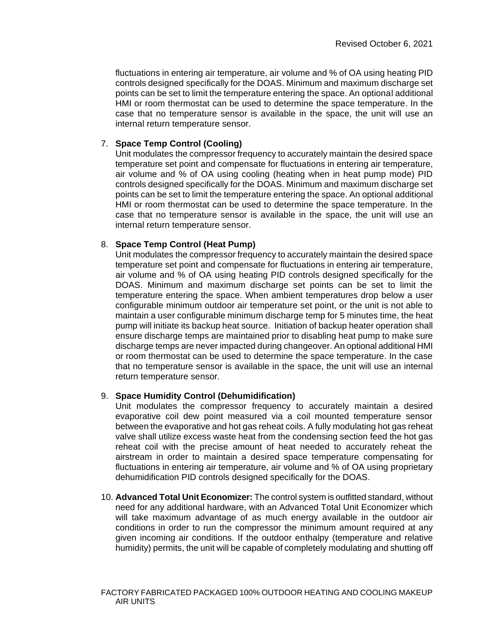fluctuations in entering air temperature, air volume and % of OA using heating PID controls designed specifically for the DOAS. Minimum and maximum discharge set points can be set to limit the temperature entering the space. An optional additional HMI or room thermostat can be used to determine the space temperature. In the case that no temperature sensor is available in the space, the unit will use an internal return temperature sensor.

# 7. **Space Temp Control (Cooling)**

Unit modulates the compressor frequency to accurately maintain the desired space temperature set point and compensate for fluctuations in entering air temperature, air volume and % of OA using cooling (heating when in heat pump mode) PID controls designed specifically for the DOAS. Minimum and maximum discharge set points can be set to limit the temperature entering the space. An optional additional HMI or room thermostat can be used to determine the space temperature. In the case that no temperature sensor is available in the space, the unit will use an internal return temperature sensor.

# 8. **Space Temp Control (Heat Pump)**

Unit modulates the compressor frequency to accurately maintain the desired space temperature set point and compensate for fluctuations in entering air temperature, air volume and % of OA using heating PID controls designed specifically for the DOAS. Minimum and maximum discharge set points can be set to limit the temperature entering the space. When ambient temperatures drop below a user configurable minimum outdoor air temperature set point, or the unit is not able to maintain a user configurable minimum discharge temp for 5 minutes time, the heat pump will initiate its backup heat source. Initiation of backup heater operation shall ensure discharge temps are maintained prior to disabling heat pump to make sure discharge temps are never impacted during changeover. An optional additional HMI or room thermostat can be used to determine the space temperature. In the case that no temperature sensor is available in the space, the unit will use an internal return temperature sensor.

# 9. **Space Humidity Control (Dehumidification)**

Unit modulates the compressor frequency to accurately maintain a desired evaporative coil dew point measured via a coil mounted temperature sensor between the evaporative and hot gas reheat coils. A fully modulating hot gas reheat valve shall utilize excess waste heat from the condensing section feed the hot gas reheat coil with the precise amount of heat needed to accurately reheat the airstream in order to maintain a desired space temperature compensating for fluctuations in entering air temperature, air volume and % of OA using proprietary dehumidification PID controls designed specifically for the DOAS.

10. **Advanced Total Unit Economizer:** The control system is outfitted standard, without need for any additional hardware, with an Advanced Total Unit Economizer which will take maximum advantage of as much energy available in the outdoor air conditions in order to run the compressor the minimum amount required at any given incoming air conditions. If the outdoor enthalpy (temperature and relative humidity) permits, the unit will be capable of completely modulating and shutting off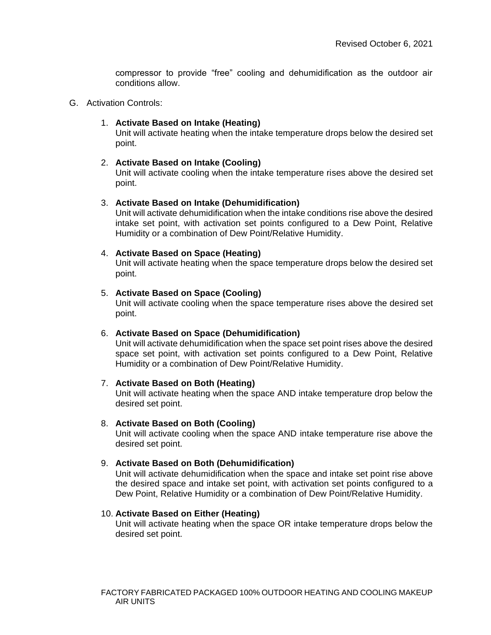compressor to provide "free" cooling and dehumidification as the outdoor air conditions allow.

#### G. Activation Controls:

### 1. **Activate Based on Intake (Heating)**

Unit will activate heating when the intake temperature drops below the desired set point.

## 2. **Activate Based on Intake (Cooling)**

Unit will activate cooling when the intake temperature rises above the desired set point.

## 3. **Activate Based on Intake (Dehumidification)**

Unit will activate dehumidification when the intake conditions rise above the desired intake set point, with activation set points configured to a Dew Point, Relative Humidity or a combination of Dew Point/Relative Humidity.

## 4. **Activate Based on Space (Heating)**

Unit will activate heating when the space temperature drops below the desired set point.

## 5. **Activate Based on Space (Cooling)**

Unit will activate cooling when the space temperature rises above the desired set point.

# 6. **Activate Based on Space (Dehumidification)**

Unit will activate dehumidification when the space set point rises above the desired space set point, with activation set points configured to a Dew Point, Relative Humidity or a combination of Dew Point/Relative Humidity.

### 7. **Activate Based on Both (Heating)**

Unit will activate heating when the space AND intake temperature drop below the desired set point.

### 8. **Activate Based on Both (Cooling)**

Unit will activate cooling when the space AND intake temperature rise above the desired set point.

# 9. **Activate Based on Both (Dehumidification)**

Unit will activate dehumidification when the space and intake set point rise above the desired space and intake set point, with activation set points configured to a Dew Point, Relative Humidity or a combination of Dew Point/Relative Humidity.

### 10. **Activate Based on Either (Heating)**

Unit will activate heating when the space OR intake temperature drops below the desired set point.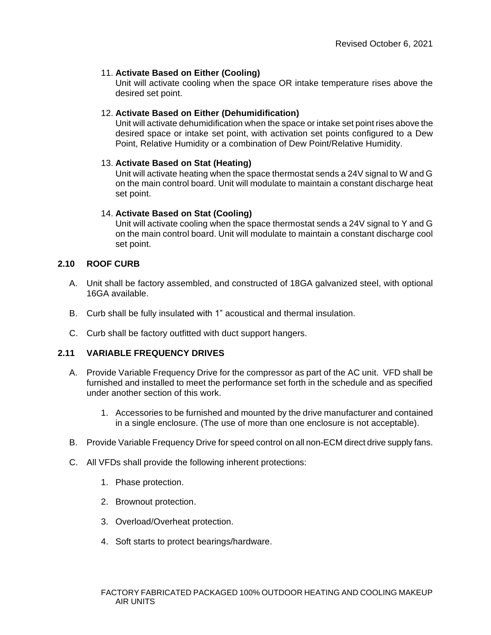# 11. **Activate Based on Either (Cooling)**

Unit will activate cooling when the space OR intake temperature rises above the desired set point.

## 12. **Activate Based on Either (Dehumidification)**

Unit will activate dehumidification when the space or intake set point rises above the desired space or intake set point, with activation set points configured to a Dew Point, Relative Humidity or a combination of Dew Point/Relative Humidity.

# 13. **Activate Based on Stat (Heating)**

Unit will activate heating when the space thermostat sends a 24V signal to W and G on the main control board. Unit will modulate to maintain a constant discharge heat set point.

## 14. **Activate Based on Stat (Cooling)**

Unit will activate cooling when the space thermostat sends a 24V signal to Y and G on the main control board. Unit will modulate to maintain a constant discharge cool set point.

# **2.10 ROOF CURB**

- A. Unit shall be factory assembled, and constructed of 18GA galvanized steel, with optional 16GA available.
- B. Curb shall be fully insulated with 1" acoustical and thermal insulation.
- C. Curb shall be factory outfitted with duct support hangers.

# **2.11 VARIABLE FREQUENCY DRIVES**

- A. Provide Variable Frequency Drive for the compressor as part of the AC unit. VFD shall be furnished and installed to meet the performance set forth in the schedule and as specified under another section of this work.
	- 1. Accessories to be furnished and mounted by the drive manufacturer and contained in a single enclosure. (The use of more than one enclosure is not acceptable).
- B. Provide Variable Frequency Drive for speed control on all non-ECM direct drive supply fans.
- C. All VFDs shall provide the following inherent protections:
	- 1. Phase protection.
	- 2. Brownout protection.
	- 3. Overload/Overheat protection.
	- 4. Soft starts to protect bearings/hardware.